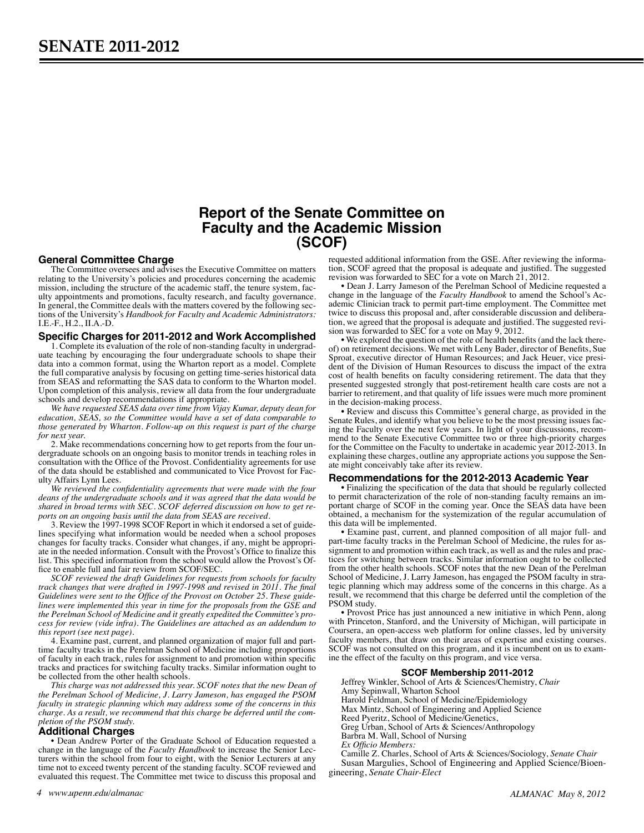# **Report of the Senate Committee on Faculty and the Academic Mission (SCOF)**

#### **General Committee Charge**

The Committee oversees and advises the Executive Committee on matters relating to the University's policies and procedures concerning the academic mission, including the structure of the academic staff, the tenure system, faculty appointments and promotions, faculty research, and faculty governance. In general, the Committee deals with the matters covered by the following sections of the University's *Handbook for Faculty and Academic Administrators:*  I.E.-F., H.2., II.A.-D.

# **Specific Charges for 2011-2012 and Work Accomplished**

1. Complete its evaluation of the role of non-standing faculty in undergraduate teaching by encouraging the four undergraduate schools to shape their data into a common format, using the Wharton report as a model. Complete the full comparative analysis by focusing on getting time-series historical data from SEAS and reformatting the SAS data to conform to the Wharton model. Upon completion of this analysis, review all data from the four undergraduate schools and develop recommendations if appropriate.

*We have requested SEAS data over time from Vijay Kumar, deputy dean for education, SEAS, so the Committee would have a set of data comparable to those generated by Wharton. Follow-up on this request is part of the charge for next year.*

2. Make recommendations concerning how to get reports from the four undergraduate schools on an ongoing basis to monitor trends in teaching roles in consultation with the Office of the Provost. Confidentiality agreements for use of the data should be established and communicated to Vice Provost for Faculty Affairs Lynn Lees.

*We reviewed the confidentiality agreements that were made with the four deans of the undergraduate schools and it was agreed that the data would be shared in broad terms with SEC. SCOF deferred discussion on how to get reports on an ongoing basis until the data from SEAS are received.*

3. Review the 1997-1998 SCOF Report in which it endorsed a set of guidelines specifying what information would be needed when a school proposes changes for faculty tracks. Consider what changes, if any, might be appropri- ate in the needed information. Consult with the Provost's Office to finalize this list. This specified information from the school would allow the Provost's Of- fice to enable full and fair review from SCOF/SEC.

*SCOF reviewed the draft Guidelines for requests from schools for faculty track changes that were drafted in 1997-1998 and revised in 2011. The final Guidelines were sent to the Office of the Provost on October 25. These guidelines were implemented this year in time for the proposals from the GSE and the Perelman School of Medicine and it greatly expedited the Committee's process for review (vide infra). The Guidelines are attached as an addendum to this report (see next page).*

4. Examine past, current, and planned organization of major full and parttime faculty tracks in the Perelman School of Medicine including proportions of faculty in each track, rules for assignment to and promotion within specific tracks and practices for switching faculty tracks. Similar information ought to be collected from the other health schools.

*This charge was not addressed this year. SCOF notes that the new Dean of the Perelman School of Medicine, J. Larry Jameson, has engaged the PSOM faculty in strategic planning which may address some of the concerns in this charge. As a result, we recommend that this charge be deferred until the completion of the PSOM study.*

## **Additional Charges**

• Dean Andrew Porter of the Graduate School of Education requested a change in the language of the *Faculty Handbook* to increase the Senior Lecturers within the school from four to eight, with the Senior Lecturers at any time not to exceed twenty percent of the standing faculty. SCOF reviewed and evaluated this request. The Committee met twice to discuss this proposal and

*4 www.upenn.edu/almanac ALMANAC May 8, 2012*

requested additional information from the GSE. After reviewing the information, SCOF agreed that the proposal is adequate and justified. The suggested revision was forwarded to SEC for a vote on March 21, 2012.

• Dean J. Larry Jameson of the Perelman School of Medicine requested a change in the language of the *Faculty Handbook* to amend the School's Academic Clinician track to permit part-time employment. The Committee met twice to discuss this proposal and, after considerable discussion and deliberation, we agreed that the proposal is adequate and justified. The suggested revision was forwarded to  $\text{SEC}^+$  for a vote on May 9, 2012.

• We explored the question of the role of health benefits (and the lack thereof) on retirement decisions. We met with Leny Bader, director of Benefits, Sue Sproat, executive director of Human Resources; and Jack Heuer, vice president of the Division of Human Resources to discuss the impact of the extra cost of health benefits on faculty considering retirement. The data that they presented suggested strongly that post-retirement health care costs are not a barrier to retirement, and that quality of life issues were much more prominent in the decision-making process.

• Review and discuss this Committee's general charge, as provided in the Senate Rules, and identify what you believe to be the most pressing issues facing the Faculty over the next few years. In light of your discussions, recommend to the Senate Executive Committee two or three high-priority charges for the Committee on the Faculty to undertake in academic year 2012-2013. In explaining these charges, outline any appropriate actions you suppose the Senate might conceivably take after its review.

#### **Recommendations for the 2012-2013 Academic Year**

• Finalizing the specification of the data that should be regularly collected to permit characterization of the role of non-standing faculty remains an important charge of SCOF in the coming year. Once the SEAS data have been obtained, a mechanism for the systemization of the regular accumulation of this data will be implemented.

• Examine past, current, and planned composition of all major full- and part-time faculty tracks in the Perelman School of Medicine, the rules for assignment to and promotion within each track, as well as and the rules and practices for switching between tracks. Similar information ought to be collected from the other health schools. SCOF notes that the new Dean of the Perelman School of Medicine, J. Larry Jameson, has engaged the PSOM faculty in strategic planning which may address some of the concerns in this charge. As a result, we recommend that this charge be deferred until the completion of the PSOM study.

• Provost Price has just announced a new initiative in which Penn, along with Princeton, Stanford, and the University of Michigan, will participate in Coursera, an open-access web platform for online classes, led by university faculty members, that draw on their areas of expertise and existing courses. SCOF was not consulted on this program, and it is incumbent on us to examine the effect of the faculty on this program, and vice versa.

#### **SCOF Membership 2011-2012**

Jeffrey Winkler, School of Arts & Sciences/Chemistry, *Chair* Amy Sepinwall, Wharton School Harold Feldman, School of Medicine/Epidemiology Max Mintz, School of Engineering and Applied Science Reed Pyeritz, School of Medicine/Genetics, Greg Urban, School of Arts & Sciences/Anthropology

Barbra M. Wall, School of Nursing

*Ex Officio Members:*

Camille Z. Charles, School of Arts & Sciences/Sociology, *Senate Chair* Susan Margulies, School of Engineering and Applied Science/Bioengineering, *Senate Chair-Elect*